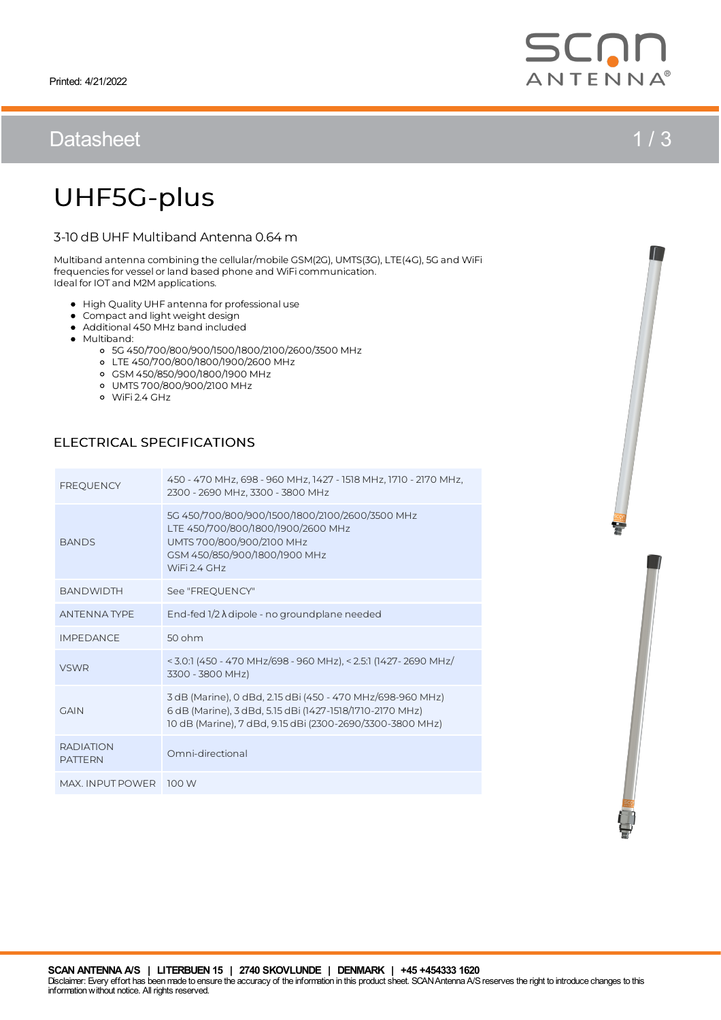# Datasheet 1/3

# UHF5G-plus

## 3-10 dB UHF Multiband Antenna 0.64 m

Multiband antenna combining the cellular/mobile GSM(2G), UMTS(3G), LTE(4G), 5G and WiFi frequencies for vessel or land based phone and WiFi communication. Ideal for IOT and M2Mapplications.

- High Quality UHF antenna for professional use
- Compact and light weight design
- Additional 450 MHz band included
- Multiband:
	- 5G 450/700/800/900/1500/1800/2100/2600/3500 MHz
	- LTE 450/700/800/1800/1900/2600 MHz
	- GSM450/850/900/1800/1900 MHz
	- o UMTS 700/800/900/2100 MHz<br>o WiFi 2.4 GHz
	-

## ELECTRICAL SPECIFICATIONS

| <b>FREQUENCY</b>                   | 450 - 470 MHz, 698 - 960 MHz, 1427 - 1518 MHz, 1710 - 2170 MHz,<br>2300 - 2690 MHz, 3300 - 3800 MHz                                                                                 |
|------------------------------------|-------------------------------------------------------------------------------------------------------------------------------------------------------------------------------------|
| <b>BANDS</b>                       | 5G 450/700/800/900/1500/1800/2100/2600/3500 MHz<br>LTE 450/700/800/1800/1900/2600 MHz<br>UMTS 700/800/900/2100 MHz<br>GSM 450/850/900/1800/1900 MHz<br>WiFi 2.4 GHz                 |
| <b>BANDWIDTH</b>                   | See "FREOUENCY"                                                                                                                                                                     |
| <b>ANTENNATYPE</b>                 | End-fed $1/2 \lambda$ dipole - no groundplane needed                                                                                                                                |
| <b>IMPEDANCE</b>                   | $50$ ohm                                                                                                                                                                            |
| <b>VSWR</b>                        | < 3.0:1 (450 - 470 MHz/698 - 960 MHz), < 2.5:1 (1427 - 2690 MHz/<br>3300 - 3800 MHz)                                                                                                |
| <b>GAIN</b>                        | 3 dB (Marine), 0 dBd, 2.15 dBi (450 - 470 MHz/698-960 MHz)<br>6 dB (Marine), 3 dBd, 5.15 dBi (1427-1518/1710-2170 MHz)<br>10 dB (Marine), 7 dBd, 9.15 dBi (2300-2690/3300-3800 MHz) |
| <b>RADIATION</b><br><b>PATTERN</b> | Omni-directional                                                                                                                                                                    |
| MAX, INPUT POWER 100 W             |                                                                                                                                                                                     |



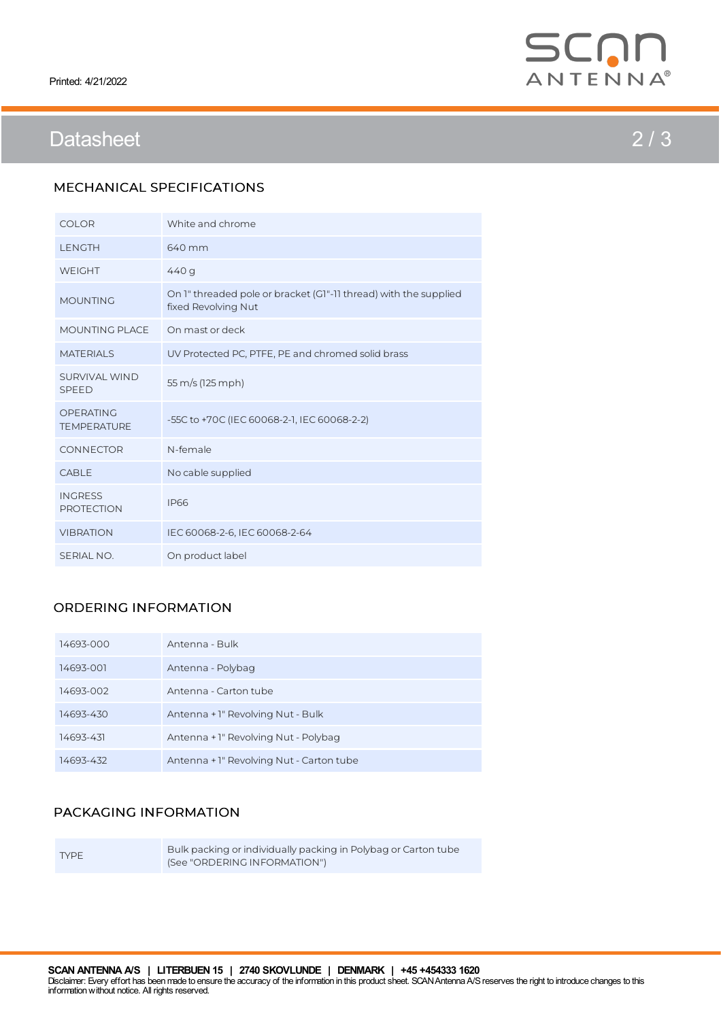

# Datasheet 2 / 3

## MECHANICAL SPECIFICATIONS

| <b>COLOR</b>                        | White and chrome                                                                        |
|-------------------------------------|-----------------------------------------------------------------------------------------|
| <b>LENGTH</b>                       | 640 mm                                                                                  |
| <b>WEIGHT</b>                       | 440 g                                                                                   |
| <b>MOUNTING</b>                     | On 1" threaded pole or bracket (G1"-11 thread) with the supplied<br>fixed Revolving Nut |
| MOUNTING PLACE                      | On mast or deck                                                                         |
| <b>MATERIALS</b>                    | UV Protected PC, PTFE, PE and chromed solid brass                                       |
| SURVIVAL WIND<br><b>SPEED</b>       | 55 m/s (125 mph)                                                                        |
| OPERATING<br><b>TEMPERATURE</b>     | -55C to +70C (IEC 60068-2-1, IEC 60068-2-2)                                             |
| <b>CONNECTOR</b>                    | N-female                                                                                |
| CABLE                               | No cable supplied                                                                       |
| <b>INGRESS</b><br><b>PROTECTION</b> | <b>IP66</b>                                                                             |
| <b>VIBRATION</b>                    | IEC 60068-2-6, IEC 60068-2-64                                                           |
| SERIAL NO.                          | On product label                                                                        |

## ORDERING INFORMATION

| 14693-000 | Antenna - Bulk                           |
|-----------|------------------------------------------|
| 14693-001 | Antenna - Polybag                        |
| 14693-002 | Antenna - Carton tube                    |
| 14693-430 | Antenna + 1" Revolving Nut - Bulk        |
| 14693-431 | Antenna + 1" Revolving Nut - Polybag     |
| 14693-432 | Antenna + 1" Revolving Nut - Carton tube |

### PACKAGING INFORMATION

TYPE

Bulk packing or individually packing in Polybag or Carton tube (See "ORDERING INFORMATION")